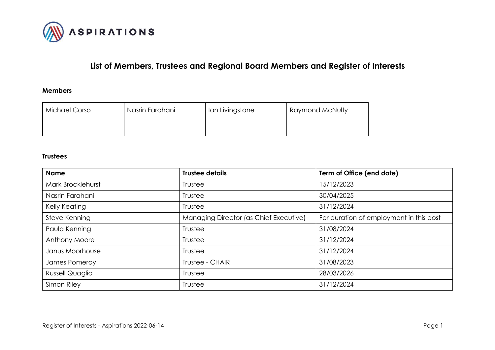

# **List of Members, Trustees and Regional Board Members and Register of Interests**

### **Members**

| Michael Corso | Nasrin Farahani | Ian Livingstone | Raymond McNulty |
|---------------|-----------------|-----------------|-----------------|
|               |                 |                 |                 |

#### **Trustees**

| <b>Name</b>       | <b>Trustee details</b>                 | Term of Office (end date)               |
|-------------------|----------------------------------------|-----------------------------------------|
| Mark Brocklehurst | Trustee                                | 15/12/2023                              |
| Nasrin Farahani   | Trustee                                | 30/04/2025                              |
| Kelly Keating     | Trustee                                | 31/12/2024                              |
| Steve Kenning     | Managing Director (as Chief Executive) | For duration of employment in this post |
| Paula Kenning     | Trustee                                | 31/08/2024                              |
| Anthony Moore     | Trustee                                | 31/12/2024                              |
| Janus Moorhouse   | Trustee                                | 31/12/2024                              |
| James Pomeroy     | Trustee - CHAIR                        | 31/08/2023                              |
| Russell Quaglia   | Trustee                                | 28/03/2026                              |
| Simon Riley       | Trustee                                | 31/12/2024                              |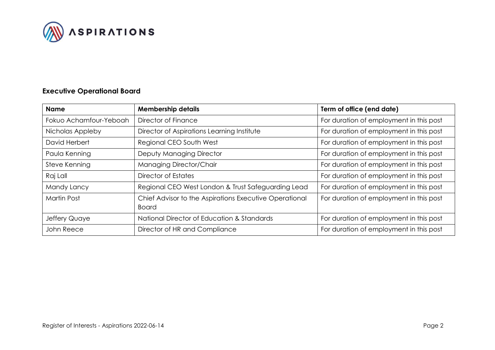

## **Executive Operational Board**

| <b>Name</b>            | <b>Membership details</b>                                              | Term of office (end date)               |
|------------------------|------------------------------------------------------------------------|-----------------------------------------|
| Fokuo Achamfour-Yeboah | Director of Finance                                                    | For duration of employment in this post |
| Nicholas Appleby       | Director of Aspirations Learning Institute                             | For duration of employment in this post |
| David Herbert          | Regional CEO South West                                                | For duration of employment in this post |
| Paula Kenning          | Deputy Managing Director                                               | For duration of employment in this post |
| Steve Kenning          | Managing Director/Chair                                                | For duration of employment in this post |
| Raj Lall               | Director of Estates                                                    | For duration of employment in this post |
| Mandy Lancy            | Regional CEO West London & Trust Safeguarding Lead                     | For duration of employment in this post |
| <b>Martin Post</b>     | Chief Advisor to the Aspirations Executive Operational<br><b>Board</b> | For duration of employment in this post |
| Jeffery Quaye          | National Director of Education & Standards                             | For duration of employment in this post |
| John Reece             | Director of HR and Compliance                                          | For duration of employment in this post |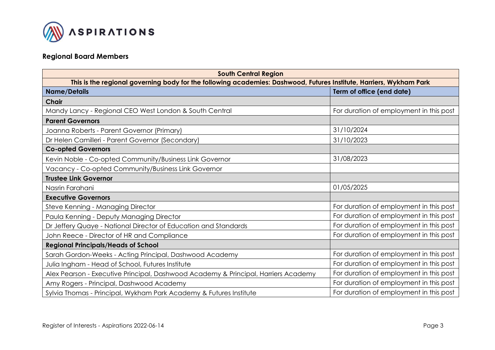

## **Regional Board Members**

| <b>South Central Region</b>                                                                                         |                                         |  |  |
|---------------------------------------------------------------------------------------------------------------------|-----------------------------------------|--|--|
| This is the regional governing body for the following academies: Dashwood, Futures Institute, Harriers, Wykham Park |                                         |  |  |
| <b>Name/Details</b><br>Term of office (end date)                                                                    |                                         |  |  |
| <b>Chair</b>                                                                                                        |                                         |  |  |
| Mandy Lancy - Regional CEO West London & South Central                                                              | For duration of employment in this post |  |  |
| <b>Parent Governors</b>                                                                                             |                                         |  |  |
| Joanna Roberts - Parent Governor (Primary)                                                                          | 31/10/2024                              |  |  |
| Dr Helen Camilleri - Parent Governor (Secondary)                                                                    | 31/10/2023                              |  |  |
| <b>Co-opted Governors</b>                                                                                           |                                         |  |  |
| Kevin Noble - Co-opted Community/Business Link Governor                                                             | 31/08/2023                              |  |  |
| Vacancy - Co-opted Community/Business Link Governor                                                                 |                                         |  |  |
| <b>Trustee Link Governor</b>                                                                                        |                                         |  |  |
| Nasrin Farahani                                                                                                     | 01/05/2025                              |  |  |
| <b>Executive Governors</b>                                                                                          |                                         |  |  |
| Steve Kenning - Managing Director                                                                                   | For duration of employment in this post |  |  |
| Paula Kenning - Deputy Managing Director                                                                            | For duration of employment in this post |  |  |
| Dr Jeffery Quaye - National Director of Education and Standards                                                     | For duration of employment in this post |  |  |
| John Reece - Director of HR and Compliance                                                                          | For duration of employment in this post |  |  |
| <b>Regional Principals/Heads of School</b>                                                                          |                                         |  |  |
| Sarah Gordon-Weeks - Acting Principal, Dashwood Academy                                                             | For duration of employment in this post |  |  |
| Julia Ingham - Head of School, Futures Institute                                                                    | For duration of employment in this post |  |  |
| Alex Pearson - Executive Principal, Dashwood Academy & Principal, Harriers Academy                                  | For duration of employment in this post |  |  |
| Amy Rogers - Principal, Dashwood Academy                                                                            | For duration of employment in this post |  |  |
| Sylvia Thomas - Principal, Wykham Park Academy & Futures Institute                                                  | For duration of employment in this post |  |  |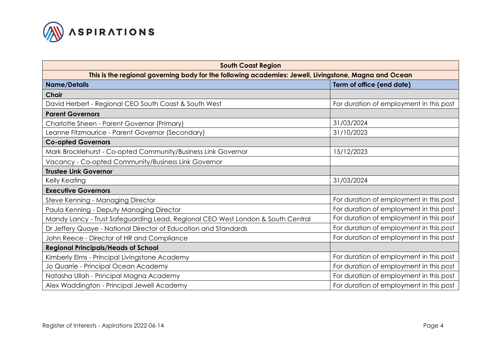

| <b>South Coast Region</b>                                                                             |                                         |  |  |
|-------------------------------------------------------------------------------------------------------|-----------------------------------------|--|--|
| This is the regional governing body for the following academies: Jewell, Livingstone, Magna and Ocean |                                         |  |  |
| <b>Name/Details</b>                                                                                   | Term of office (end date)               |  |  |
| <b>Chair</b>                                                                                          |                                         |  |  |
| David Herbert - Regional CEO South Coast & South West                                                 | For duration of employment in this post |  |  |
| <b>Parent Governors</b>                                                                               |                                         |  |  |
| Charlotte Sheen - Parent Governor (Primary)                                                           | 31/03/2024                              |  |  |
| Leanne Fitzmaurice - Parent Governor (Secondary)                                                      | 31/10/2023                              |  |  |
| <b>Co-opted Governors</b>                                                                             |                                         |  |  |
| Mark Brocklehurst - Co-opted Community/Business Link Governor                                         | 15/12/2023                              |  |  |
| Vacancy - Co-opted Community/Business Link Governor                                                   |                                         |  |  |
| <b>Trustee Link Governor</b>                                                                          |                                         |  |  |
| Kelly Keating                                                                                         | 31/03/2024                              |  |  |
| <b>Executive Governors</b>                                                                            |                                         |  |  |
| Steve Kenning - Managing Director                                                                     | For duration of employment in this post |  |  |
| Paula Kenning - Deputy Managing Director                                                              | For duration of employment in this post |  |  |
| Mandy Lancy - Trust Safeguarding Lead, Regional CEO West London & South Central                       | For duration of employment in this post |  |  |
| Dr Jeffery Quaye - National Director of Education and Standards                                       | For duration of employment in this post |  |  |
| John Reece - Director of HR and Compliance                                                            | For duration of employment in this post |  |  |
| <b>Regional Principals/Heads of School</b>                                                            |                                         |  |  |
| Kimberly Elms - Principal Livingstone Academy                                                         | For duration of employment in this post |  |  |
| Jo Quarrie - Principal Ocean Academy                                                                  | For duration of employment in this post |  |  |
| Natasha Ullah - Principal Magna Academy                                                               | For duration of employment in this post |  |  |
| Alex Waddington - Principal Jewell Academy                                                            | For duration of employment in this post |  |  |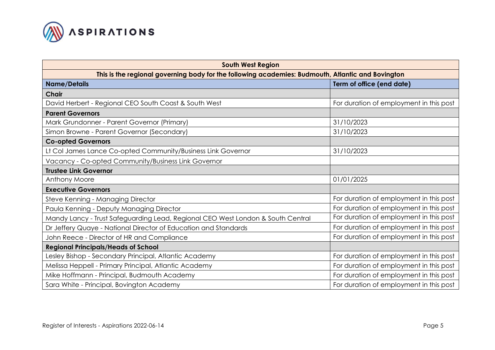

| <b>South West Region</b>                                                                          |                                         |  |  |
|---------------------------------------------------------------------------------------------------|-----------------------------------------|--|--|
| This is the regional governing body for the following academies: Budmouth, Atlantic and Bovington |                                         |  |  |
| <b>Name/Details</b>                                                                               | Term of office (end date)               |  |  |
| <b>Chair</b>                                                                                      |                                         |  |  |
| David Herbert - Regional CEO South Coast & South West                                             | For duration of employment in this post |  |  |
| <b>Parent Governors</b>                                                                           |                                         |  |  |
| Mark Grundonner - Parent Governor (Primary)                                                       | 31/10/2023                              |  |  |
| Simon Browne - Parent Governor (Secondary)                                                        | 31/10/2023                              |  |  |
| <b>Co-opted Governors</b>                                                                         |                                         |  |  |
| Lt Col James Lance Co-opted Community/Business Link Governor                                      | 31/10/2023                              |  |  |
| Vacancy - Co-opted Community/Business Link Governor                                               |                                         |  |  |
| <b>Trustee Link Governor</b>                                                                      |                                         |  |  |
| Anthony Moore                                                                                     | 01/01/2025                              |  |  |
| <b>Executive Governors</b>                                                                        |                                         |  |  |
| Steve Kenning - Managing Director                                                                 | For duration of employment in this post |  |  |
| Paula Kenning - Deputy Managing Director                                                          | For duration of employment in this post |  |  |
| Mandy Lancy - Trust Safeguarding Lead, Regional CEO West London & South Central                   | For duration of employment in this post |  |  |
| Dr Jeffery Quaye - National Director of Education and Standards                                   | For duration of employment in this post |  |  |
| John Reece - Director of HR and Compliance                                                        | For duration of employment in this post |  |  |
| <b>Regional Principals/Heads of School</b>                                                        |                                         |  |  |
| Lesley Bishop - Secondary Principal, Atlantic Academy                                             | For duration of employment in this post |  |  |
| Melissa Heppell - Primary Principal, Atlantic Academy                                             | For duration of employment in this post |  |  |
| Mike Hoffmann - Principal, Budmouth Academy                                                       | For duration of employment in this post |  |  |
| Sara White - Principal, Bovington Academy                                                         | For duration of employment in this post |  |  |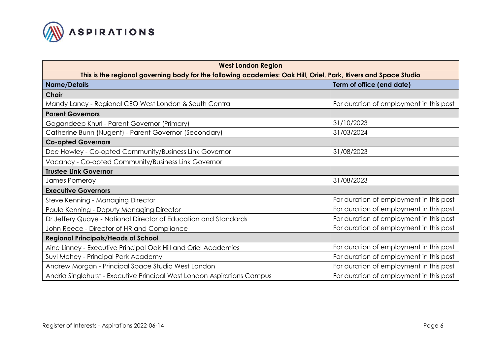

| <b>West London Region</b>                                                                                       |                                         |  |  |
|-----------------------------------------------------------------------------------------------------------------|-----------------------------------------|--|--|
| This is the regional governing body for the following academies: Oak Hill, Oriel, Park, Rivers and Space Studio |                                         |  |  |
| <b>Name/Details</b>                                                                                             | Term of office (end date)               |  |  |
| <b>Chair</b>                                                                                                    |                                         |  |  |
| Mandy Lancy - Regional CEO West London & South Central                                                          | For duration of employment in this post |  |  |
| <b>Parent Governors</b>                                                                                         |                                         |  |  |
| Gagandeep Khurl - Parent Governor (Primary)                                                                     | 31/10/2023                              |  |  |
| Catherine Bunn (Nugent) - Parent Governor (Secondary)                                                           | 31/03/2024                              |  |  |
| <b>Co-opted Governors</b>                                                                                       |                                         |  |  |
| Dee Howley - Co-opted Community/Business Link Governor                                                          | 31/08/2023                              |  |  |
| Vacancy - Co-opted Community/Business Link Governor                                                             |                                         |  |  |
| <b>Trustee Link Governor</b>                                                                                    |                                         |  |  |
| James Pomeroy                                                                                                   | 31/08/2023                              |  |  |
| <b>Executive Governors</b>                                                                                      |                                         |  |  |
| Steve Kenning - Managing Director                                                                               | For duration of employment in this post |  |  |
| Paula Kenning - Deputy Managing Director                                                                        | For duration of employment in this post |  |  |
| Dr Jeffery Quaye - National Director of Education and Standards                                                 | For duration of employment in this post |  |  |
| John Reece - Director of HR and Compliance                                                                      | For duration of employment in this post |  |  |
| <b>Regional Principals/Heads of School</b>                                                                      |                                         |  |  |
| Aine Linney - Executive Principal Oak Hill and Oriel Academies                                                  | For duration of employment in this post |  |  |
| Suvi Mohey - Principal Park Academy                                                                             | For duration of employment in this post |  |  |
| Andrew Morgan - Principal Space Studio West London                                                              | For duration of employment in this post |  |  |
| Andria Singlehurst - Executive Principal West London Aspirations Campus                                         | For duration of employment in this post |  |  |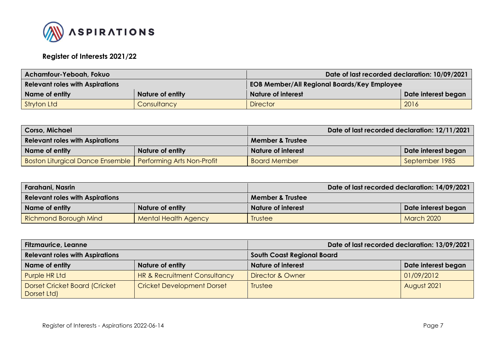

## **Register of Interests 2021/22**

| <b>Achamfour-Yeboah, Fokuo</b>         |                    | Date of last recorded declaration: 10/09/2021      |      |
|----------------------------------------|--------------------|----------------------------------------------------|------|
| <b>Relevant roles with Aspirations</b> |                    | <b>EOB Member/All Regional Boards/Key Employee</b> |      |
| Name of entity                         | Nature of entity   | <b>Nature of interest</b><br>Date interest began   |      |
| Stryton Ltd                            | <b>Consultancy</b> | <b>Director</b>                                    | 2016 |

| <b>Corso, Michael</b>                                         |                         |                             | Date of last recorded declaration: 12/11/2021 |
|---------------------------------------------------------------|-------------------------|-----------------------------|-----------------------------------------------|
| <b>Relevant roles with Aspirations</b>                        |                         | <b>Member &amp; Trustee</b> |                                               |
| Name of entity                                                | <b>Nature of entity</b> | <b>Nature of interest</b>   | Date interest began                           |
| Boston Liturgical Dance Ensemble   Performing Arts Non-Profit |                         | <b>Board Member</b>         | September 1985                                |

| Farahani, Nasrin                       |                             |                           | Date of last recorded declaration: 14/09/2021 |  |
|----------------------------------------|-----------------------------|---------------------------|-----------------------------------------------|--|
| <b>Relevant roles with Aspirations</b> |                             | Member & Trustee          |                                               |  |
| Name of entity                         | <b>Nature of entity</b>     | <b>Nature of interest</b> | Date interest began                           |  |
| Richmond Borough Mind                  | <b>Mental Health Agency</b> | <b>Trustee</b>            | <b>March 2020</b>                             |  |

| <b>Fitzmaurice, Leanne</b>                   |                                         | Date of last recorded declaration: 13/09/2021 |                     |
|----------------------------------------------|-----------------------------------------|-----------------------------------------------|---------------------|
| <b>Relevant roles with Aspirations</b>       |                                         | <b>South Coast Regional Board</b>             |                     |
| Name of entity                               | Nature of entity                        | <b>Nature of interest</b>                     | Date interest began |
| Purple HR Ltd                                | <b>HR &amp; Recruitment Consultancy</b> | <b>Director &amp; Owner</b>                   | 01/09/2012          |
| Dorset Cricket Board (Cricket<br>Dorset Ltd) | <b>Cricket Development Dorset</b>       | Trustee                                       | August 2021         |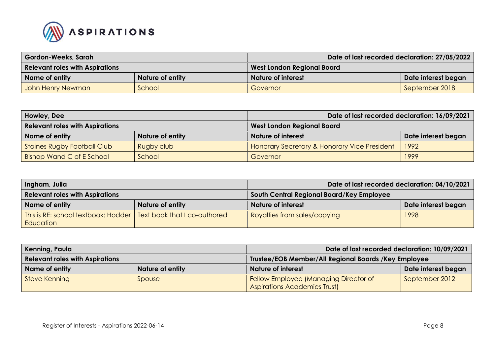

| <b>Gordon-Weeks, Sarah</b>             |                         | Date of last recorded declaration: 27/05/2022 |                |
|----------------------------------------|-------------------------|-----------------------------------------------|----------------|
| <b>Relevant roles with Aspirations</b> |                         | <b>West London Regional Board</b>             |                |
| Name of entity                         | <b>Nature of entity</b> | Date interest began<br>Nature of interest     |                |
| John Henry Newman                      | School                  | Governor                                      | September 2018 |

| Howley, Dee                                                                 |                         | Date of last recorded declaration: 16/09/2021           |      |
|-----------------------------------------------------------------------------|-------------------------|---------------------------------------------------------|------|
| <b>Relevant roles with Aspirations</b><br><b>West London Regional Board</b> |                         |                                                         |      |
| Name of entity                                                              | <b>Nature of entity</b> | <b>Nature of interest</b><br>Date interest began        |      |
| <b>Staines Rugby Football Club</b>                                          | Rugby club              | <b>Honorary Secretary &amp; Honorary Vice President</b> | 1992 |
| Bishop Wand C of E School                                                   | School                  | Governor                                                | 1999 |

| Ingham, Julia                                                                          |                         | Date of last recorded declaration: 04/10/2021 |                     |
|----------------------------------------------------------------------------------------|-------------------------|-----------------------------------------------|---------------------|
| <b>Relevant roles with Aspirations</b>                                                 |                         | South Central Regional Board/Key Employee     |                     |
| Name of entity                                                                         | <b>Nature of entity</b> | <b>Nature of interest</b>                     | Date interest began |
| This is RE: school textbook: Hodder   Text book that I co-authored<br><b>Education</b> |                         | Royalties from sales/copying                  | 1998                |

| Kenning, Paula                         |                         | Date of last recorded declaration: 10/09/2021                                |                     |
|----------------------------------------|-------------------------|------------------------------------------------------------------------------|---------------------|
| <b>Relevant roles with Aspirations</b> |                         | Trustee/EOB Member/All Regional Boards /Key Employee                         |                     |
| Name of entity                         | <b>Nature of entity</b> | <b>Nature of interest</b>                                                    | Date interest began |
| Steve Kenning                          | Spouse                  | Fellow Employee (Managing Director of<br><b>Aspirations Academies Trust)</b> | September 2012      |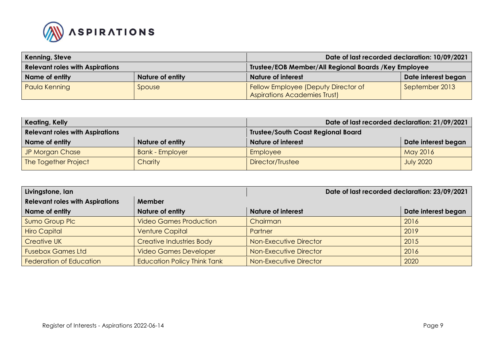

| Kenning, Steve                         |                         | Date of last recorded declaration: 10/09/2021                              |                     |
|----------------------------------------|-------------------------|----------------------------------------------------------------------------|---------------------|
| <b>Relevant roles with Aspirations</b> |                         | Trustee/EOB Member/All Regional Boards /Key Employee                       |                     |
| Name of entity                         | <b>Nature of entity</b> | <b>Nature of interest</b>                                                  | Date interest began |
| <b>Paula Kenning</b>                   | Spouse                  | Fellow Employee (Deputy Director of<br><b>Aspirations Academies Trust)</b> | September 2013      |

| Keating, Kelly                         |                        | Date of last recorded declaration: 21/09/2021 |                     |
|----------------------------------------|------------------------|-----------------------------------------------|---------------------|
| <b>Relevant roles with Aspirations</b> |                        | <b>Trustee/South Coast Regional Board</b>     |                     |
| Name of entity                         | Nature of entity       | <b>Nature of interest</b>                     | Date interest began |
| JP Morgan Chase                        | <b>Bank - Employer</b> | Employee                                      | May 2016            |
| The Together Project                   | <b>Charity</b>         | Director/Trustee                              | <b>July 2020</b>    |

| Livingstone, Ian                       |                                    | Date of last recorded declaration: 23/09/2021 |                     |
|----------------------------------------|------------------------------------|-----------------------------------------------|---------------------|
| <b>Relevant roles with Aspirations</b> | <b>Member</b>                      |                                               |                     |
| Name of entity                         | Nature of entity                   | <b>Nature of interest</b>                     | Date interest began |
| Sumo Group Plc                         | <b>Video Games Production</b>      | Chairman                                      | 2016                |
| <b>Hiro Capital</b>                    | <b>Venture Capital</b>             | Partner                                       | 2019                |
| <b>Creative UK</b>                     | <b>Creative Industries Body</b>    | Non-Executive Director                        | 2015                |
| <b>Fusebox Games Ltd</b>               | <b>Video Games Developer</b>       | Non-Executive Director                        | 2016                |
| <b>Federation of Education</b>         | <b>Education Policy Think Tank</b> | Non-Executive Director                        | 2020                |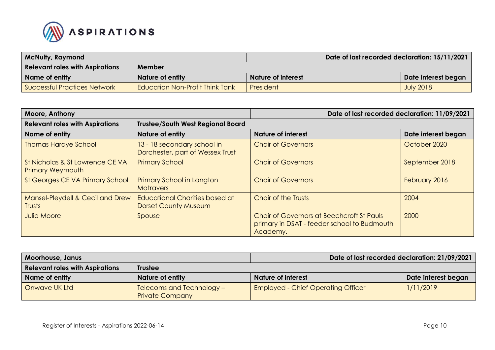

| <b>McNulty, Raymond</b>                |                                        | Date of last recorded declaration: 15/11/2021 |                     |
|----------------------------------------|----------------------------------------|-----------------------------------------------|---------------------|
| <b>Relevant roles with Aspirations</b> | Member                                 |                                               |                     |
| Name of entity                         | <b>Nature of entity</b>                | Nature of interest                            | Date interest began |
| Successful Practices Network           | <b>Education Non-Profit Think Tank</b> | President                                     | <b>July 2018</b>    |

| Moore, Anthony                                             |                                                                      | Date of last recorded declaration: 11/09/2021                                                        |                     |
|------------------------------------------------------------|----------------------------------------------------------------------|------------------------------------------------------------------------------------------------------|---------------------|
| <b>Relevant roles with Aspirations</b>                     | <b>Trustee/South West Regional Board</b>                             |                                                                                                      |                     |
| Name of entity                                             | <b>Nature of entity</b>                                              | <b>Nature of interest</b>                                                                            | Date interest began |
| <b>Thomas Hardye School</b>                                | 13 - 18 secondary school in<br>Dorchester, part of Wessex Trust      | <b>Chair of Governors</b>                                                                            | October 2020        |
| St Nicholas & St Lawrence CE VA<br><b>Primary Weymouth</b> | <b>Primary School</b>                                                | <b>Chair of Governors</b>                                                                            | September 2018      |
| St Georges CE VA Primary School                            | <b>Primary School in Langton</b><br><b>Matravers</b>                 | <b>Chair of Governors</b>                                                                            | February 2016       |
| Mansel-Pleydell & Cecil and Drew<br>Trusts                 | <b>Educational Charities based at</b><br><b>Dorset County Museum</b> | Chair of the Trusts                                                                                  | 2004                |
| <b>Julia Moore</b>                                         | Spouse                                                               | Chair of Governors at Beechcroft St Pauls<br>primary in DSAT - feeder school to Budmouth<br>Academy. | 2000                |

| <b>Moorhouse, Janus</b>                |                                                     | Date of last recorded declaration: 21/09/2021 |                     |
|----------------------------------------|-----------------------------------------------------|-----------------------------------------------|---------------------|
| <b>Relevant roles with Aspirations</b> | <b>Trustee</b>                                      |                                               |                     |
| Name of entity                         | <b>Nature of entity</b>                             | <b>Nature of interest</b>                     | Date interest began |
| Onwave UK Ltd                          | Telecoms and Technology -<br><b>Private Company</b> | <b>Employed - Chief Operating Officer</b>     | 1/11/2019           |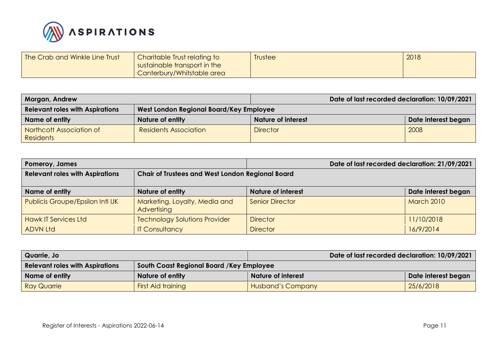

| The Crab and Winkle Line Trust | Charitable Trust relating to | Trustee | 2018 |
|--------------------------------|------------------------------|---------|------|
|                                | sustainable transport in the |         |      |
|                                | Canterbury/Whitstable area   |         |      |

| <b>Morgan, Andrew</b>                  |                                         | Date of last recorded declaration: 10/09/2021 |                     |
|----------------------------------------|-----------------------------------------|-----------------------------------------------|---------------------|
| <b>Relevant roles with Aspirations</b> | West London Regional Board/Key Employee |                                               |                     |
| Name of entity                         | Nature of entity                        | <b>Nature of interest</b>                     | Date interest began |
| Northcott Association of<br>Residents  | <b>Residents Association</b>            | <b>Director</b>                               | 2008                |

| Pomeroy, James                         |                                                         |                           | Date of last recorded declaration: 21/09/2021 |                     |
|----------------------------------------|---------------------------------------------------------|---------------------------|-----------------------------------------------|---------------------|
| <b>Relevant roles with Aspirations</b> | <b>Chair of Trustees and West London Regional Board</b> |                           |                                               |                     |
| Name of entity                         | Nature of entity                                        | <b>Nature of interest</b> |                                               | Date interest began |
| <b>Publicis Groupe/Epsilon Intl UK</b> | Marketing, Loyalty, Media and<br>Advertising            | <b>Senior Director</b>    |                                               | <b>March 2010</b>   |
| <b>Hawk IT Services Ltd</b>            | <b>Technology Solutions Provider</b>                    | <b>Director</b>           |                                               | 11/10/2018          |
| <b>ADVN Ltd</b>                        | <b>IT Consultancy</b>                                   | <b>Director</b>           |                                               | 16/9/2014           |

| Quarrie, Jo                            |                                          | Date of last recorded declaration: 10/09/2021 |                     |
|----------------------------------------|------------------------------------------|-----------------------------------------------|---------------------|
| <b>Relevant roles with Aspirations</b> | South Coast Regional Board /Key Employee |                                               |                     |
| Name of entity                         | <b>Nature of entity</b>                  | <b>Nature of interest</b>                     | Date interest began |
| <b>Ray Quarrie</b>                     | <b>First Aid training</b>                | Husband's Company                             | 25/6/2018           |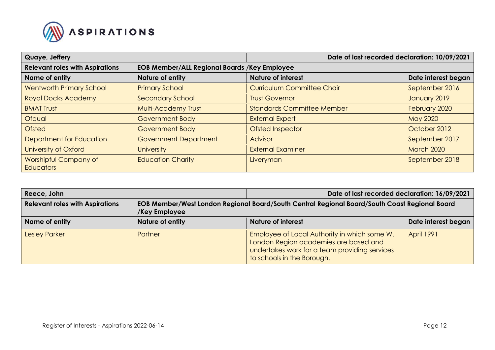

| Quaye, Jeffery                         |                                                     | Date of last recorded declaration: 10/09/2021 |                     |
|----------------------------------------|-----------------------------------------------------|-----------------------------------------------|---------------------|
| <b>Relevant roles with Aspirations</b> | <b>EOB Member/ALL Regional Boards /Key Employee</b> |                                               |                     |
| Name of entity                         | Nature of entity                                    | <b>Nature of interest</b>                     | Date interest began |
| <b>Wentworth Primary School</b>        | <b>Primary School</b>                               | <b>Curriculum Committee Chair</b>             | September 2016      |
| <b>Royal Docks Academy</b>             | <b>Secondary School</b>                             | <b>Trust Governor</b>                         | January 2019        |
| <b>BMAT Trust</b>                      | Multi-Academy Trust                                 | <b>Standards Committee Member</b>             | February 2020       |
| Ofqual                                 | <b>Government Body</b>                              | <b>External Expert</b>                        | May 2020            |
| <b>Ofsted</b>                          | <b>Government Body</b>                              | <b>Ofsted Inspector</b>                       | October 2012        |
| Department for Education               | <b>Government Department</b>                        | <b>Advisor</b>                                | September 2017      |
| University of Oxford                   | <b>University</b>                                   | <b>External Examiner</b>                      | <b>March 2020</b>   |
| Worshipful Company of<br>Educators     | <b>Education Charity</b>                            | Liveryman                                     | September 2018      |

| Reece, John                            |                                                                                                                | Date of last recorded declaration: 16/09/2021                                                                                                                        |                     |
|----------------------------------------|----------------------------------------------------------------------------------------------------------------|----------------------------------------------------------------------------------------------------------------------------------------------------------------------|---------------------|
| <b>Relevant roles with Aspirations</b> | EOB Member/West London Regional Board/South Central Regional Board/South Coast Regional Board<br>/Key Employee |                                                                                                                                                                      |                     |
| Name of entity                         | Nature of entity                                                                                               | <b>Nature of interest</b>                                                                                                                                            | Date interest began |
| <b>Lesley Parker</b>                   | Partner                                                                                                        | Employee of Local Authority in which some W.<br>London Region academies are based and<br>undertakes work for a team providing services<br>to schools in the Borough. | <b>April 1991</b>   |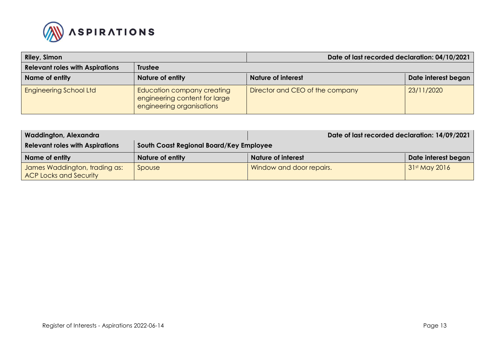

| Riley, Simon                           |                                                                                                 | Date of last recorded declaration: 04/10/2021 |                     |
|----------------------------------------|-------------------------------------------------------------------------------------------------|-----------------------------------------------|---------------------|
| <b>Relevant roles with Aspirations</b> | <b>Trustee</b>                                                                                  |                                               |                     |
| Name of entity                         | Nature of entity                                                                                | <b>Nature of interest</b>                     | Date interest began |
| <b>Engineering School Ltd</b>          | <b>Education company creating</b><br>engineering content for large<br>engineering organisations | Director and CEO of the company               | 23/11/2020          |

| <b>Waddington, Alexandra</b>                                   |                                         | Date of last recorded declaration: 14/09/2021 |                     |
|----------------------------------------------------------------|-----------------------------------------|-----------------------------------------------|---------------------|
| <b>Relevant roles with Aspirations</b>                         | South Coast Regional Board/Key Employee |                                               |                     |
| Name of entity                                                 | <b>Nature of entity</b>                 | Nature of interest                            | Date interest began |
| <b>James Waddington, trading as:</b><br>ACP Locks and Security | Spouse                                  | Window and door repairs.                      | 31st May 2016       |